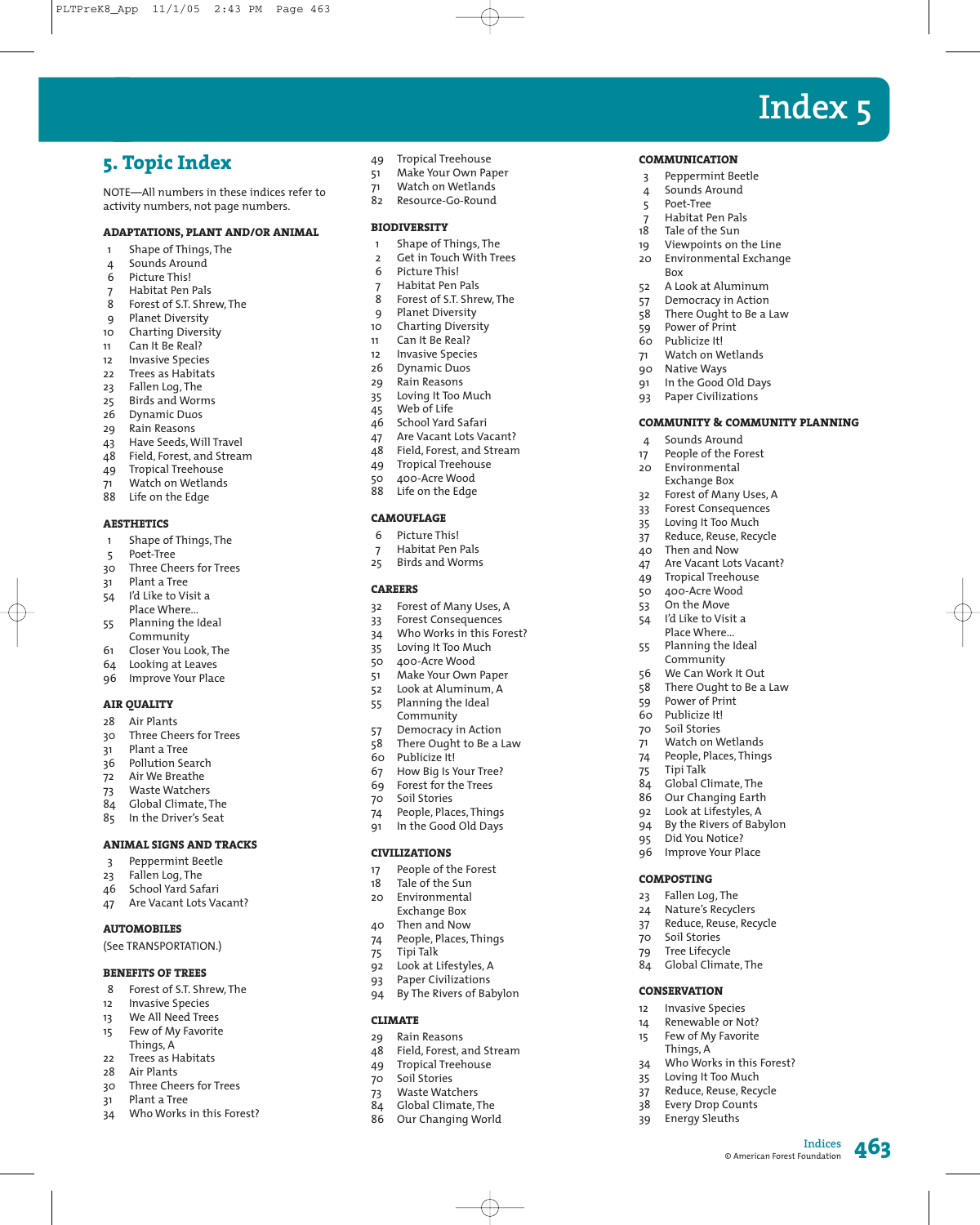

**COMMUNICATION** 

 $Port\_Trace$ 

**Rox** 

 $\overline{3}$ 

 $\overline{4}$ 

 $\overline{5}$ 

 $\overline{7}$ 

 $18$ 

 $19$ 

 $20<sub>0</sub>$ 

 $52$ 

57

 $58$ 

59

 $71$ 

91

93

 $\Delta$ 

 $17$ 

20

32

33

35

37

40

47

49

50

53

54

55

56

 $58$ 

59

70

 $71$ 

74

75

84

86

92

 $Q_{\Delta}$ 

95

96

 $23$ 

24

 $37$ 

70

79 84

 $12$ 

14

15

 $34$ 

35

 $37$ 

38

39

 $60 -$ 

Peppermint Beetle

Sounds Around

Habitat Pen Pals

Viewpoints on the Line

A Look at Aluminum

Democracy in Action

Watch on Wetlands

In the Good Old Days

**COMMUNITY & COMMUNITY PLANNING** 

**Paper Civilizations** 

Sounds Around

Environmental

**Exchange Box** 

People of the Forest

Forest of Many Uses, A

**Forest Consequences** 

Reduce, Reuse, Recycle

Are Vacant Lots Vacant?

Loving It Too Much

**Tropical Treehouse** 

400-Acre Wood

I'd Like to Visit a

Planning the Ideal

We Can Work It Out

Watch on Wetlands

Global Climate, The

Our Changing Earth

Look at Lifestyles, A

Did You Notice?

Fallen Log, The

Soil Stories

**CONSERVATION** 

Things, A

Tree Lifecycle

Nature's Recyclers

Global Climate, The

**Invasive Species** 

Renewable or Not?

Few of My Favorite

Loving It Too Much

**Every Drop Counts** 

**Energy Sleuths** 

Reduce, Reuse, Recycle

Who Works in this Forest?

**Indices** 

© American Forest Foundation

462

Reduce, Reuse, Recycle

Improve Your Place

By the Rivers of Babylon

People, Places, Things

There Ought to Be a Law

Place Where...

Community

Power of Print

60 Publicize It!

Soil Stories

Tipi Talk

**COMPOSTING** 

On the Move

Then and Now

Environmental Exchange

There Ought to Be a Law

Tale of the Sun

Power of Print

Publicize It!

90 Native Ways

### 5. Topic Index

NOTE—All numbers in these indices refer to activity numbers, not page numbers.

#### **ADAPTATIONS, PLANT AND/OR ANIMAL**

- Shape of Things, The  $\mathbf{1}$
- 4 Sounds Around
- Picture This! 6
- Habitat Pen Pals  $\overline{7}$
- Forest of S.T. Shrew, The 8
- **Planet Diversity** 9
- Charting Diversity  $10<sub>o</sub>$
- Can It Be Real?  $11$ **Invasive Species**
- $12$  $22$ Trees as Habitats
- Fallen Log, The  $23$
- **Birds and Worms**
- 25 26 **Dynamic Duos**
- Rain Reasons  $29$
- Have Seeds, Will Travel 43
- Field, Forest, and Stream 48
- **Tropical Treehouse** 49
- Watch on Wetlands  $71$
- 88 Life on the Edge

#### **AESTHETICS**

- Shape of Things, The  $\mathbf{1}$
- Poet-Tree 5
- Three Cheers for Trees  $30$
- $31$ Plant a Tree
- I'd Like to Visit a 54
- Place Where... Planning the Ideal 55
- Community
- 61 Closer You Look, The
- Looking at Leaves 64
- 96 Improve Your Place

#### **AIR QUALITY**

- Air Plants  $28$
- Three Cheers for Trees  $30$
- Plant a Tree  $31$
- 36 Pollution Search
- Air We Breathe 72
- Waste Watchers  $73$
- Global Climate. The  $8<sub>1</sub>$  $85$ In the Driver's Seat
- 

#### **ANIMAL SIGNS AND TRACKS**

- Peppermint Beetle  $\overline{3}$
- Fallen Log. The 23
- School Yard Safari 46
- $47$ Are Vacant Lots Vacant?

#### **AUTOMOBILES**

(See TRANSPORTATION.)

#### **BENEFITS OF TREES**

- 8 Forest of S.T. Shrew, The
- **Invasive Species**  $12$
- We All Need Trees  $13$
- Few of My Favorite 15
- Things, A
- Trees as Habitats  $22$
- Air Plants 28
- Three Cheers for Trees 30 Plant a Tree
- $31$
- Who Works in this Forest?  $34$
- **Tropical Treehouse** 49
- $51$ Make Your Own Paper
- Watch on Wetlands  $71$  $8<sub>2</sub>$ Resource-Go-Round
- 

#### **BIODIVERSITY**

- Shape of Things, The  $\mathbf{1}$
- Get in Touch With Trees  $\overline{2}$
- 6 Picture Thisl
- Habitat Pen Pals  $\overline{7}$
- $\mathbf{8}$ Forest of S.T. Shrew. The
- $\mathsf{q}$ **Planet Diversity**
- Charting Diversity  $10$
- $11$ Can It Be Real?
- **Invasive Species**  $12$
- $26$ **Dynamic Duos** Rain Reasons
- 29 35 Loving It Too Much
- $Meh$  of  $l$  ife 45
- School Yard Safari 46
- 47 Are Vacant Lots Vacant?
- 48 Field, Forest, and Stream
- **Tropical Treehouse** 49
- 400-Acre Wood  $50$
- Life on the Edge 88

#### **CAMOUFLAGE**

- 6 Picture This!
- Habitat Pen Pals  $\overline{7}$
- **Birds and Worms** 25

#### **CAREERS**

- Forest of Many Uses, A  $32$
- Forest Consequences 33
- Who Works in this Forest? 34
- Loving It Too Much 35
- 400-Acre Wood 50
- Make Your Own Paper  $51$
- 52 Look at Aluminum, A
- Planning the Ideal 55. Community
- Democracy in Action 57
- 58 There Ought to Be a Law

People, Places, Things

In the Good Old Days

People of the Forest

People, Places, Things

Look at Lifestyles, A

Paper Civilizations

Rain Reasons

Soil Stories

By The Rivers of Babylon

Field, Forest, and Stream

**Tropical Treehouse** 

Global Climate, The

Our Changing World

**Waste Watchers** 

Tale of the Sun

Environmental

**Exchange Box** 

Then and Now

Tipi Talk

Publicize It! 60

**CIVILIZATIONS** 

70

74

91

 $17$ 

 $18$ 

20

 $40$ 

74

75

92

93

94

29

48

49

70

73

84

86

**CLIMATE** 

How Big Is Your Tree? 67 Forest for the Trees 69

Soil Stories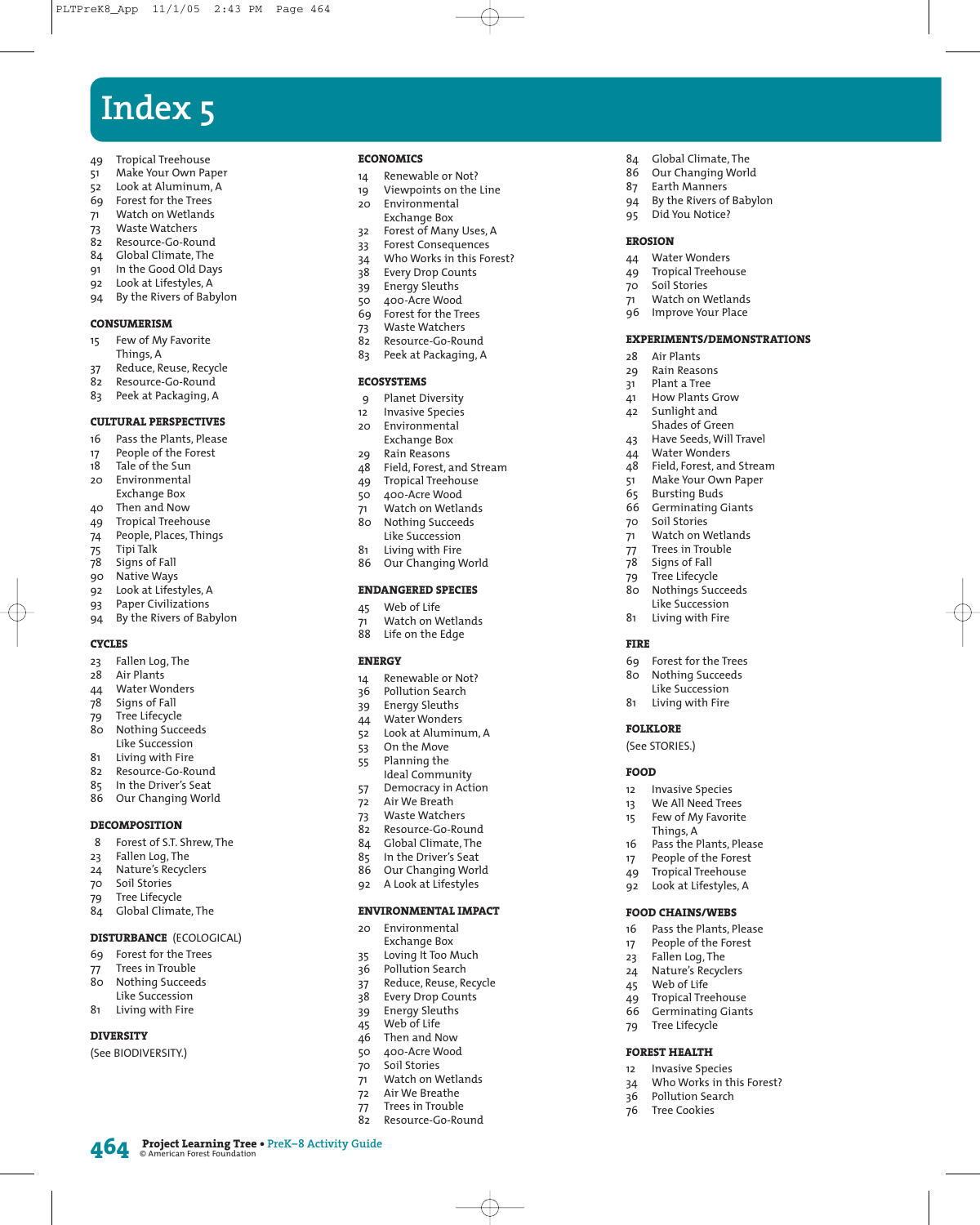# **Index 5**

- 49 Tropical Treehouse<br>51 Make Your Own Pa
- Make Your Own Paper
- 52 Look at Aluminum, A<br>69 Forest for the Trees
- Forest for the Trees
- 71 Watch on Wetlands 73 Waste Watchers
- 
- 82 Resource-Go-Round<br>84 Global Climate, The Global Climate, The
- 
- 91 In the Good Old Days<br>92 Look at Lifestyles, A
- 92 Look at Lifestyles, A<br>94 By the Rivers of Bab By the Rivers of Babylon

#### **CONSUMERISM**

- <sup>15</sup> Few of My Favorite Things, A
- 37 Reduce, Reuse, Recycle<br>82 Resource-Go-Round
- 82 Resource-Go-Round<br>83 Peek at Packaging, A
- Peek at Packaging, A

#### **CULTURAL PERSPECTIVES**

- 16 Pass the Plants, Please
- 17 People of the Forest
- 18 Tale of the Sun<br>20 Environmental
- Environmental Exchange Box
- 
- 40 Then and Now<br>49 Tropical Treeho <sup>49</sup> Tropical Treehouse
- 74 People, Places, Things
- 75 Tipi Talk
- 78 Signs of Fall
- 90 Native Ways<br>92 Look at Lifest
- 92 Look at Lifestyles, A<br>93 Paper Civilizations
- Paper Civilizations
- <sup>94</sup> By the Rivers of Babylon

#### **CYCLES**

- 23 Fallen Log, The<br>28 Air Plants
- 
- 28 Air Plants<br>44 Water Wor **Water Wonders**
- 78 Signs of Fall
- <sup>79</sup> Tree Lifecycle
- 80 Nothing Succeeds Like Succession
- 81 Living with Fire<br>82 Resource-Go-Ro
- 82 Resource-Go-Round<br>85 In the Driver's Seat
- <sup>85</sup> In the Driver's Seat Our Changing World

#### **DECOMPOSITION**

- 8 Forest of S.T. Shrew, The<br>23 Fallen Log, The
- 23 Fallen Log, The<br>24 Nature's Recvcl
- 24 Nature's Recyclers<br>70 Soil Stories
- Soil Stories
- 79 Tree Lifecycle<br>84 Global Climat
- Global Climate, The

#### **DISTURBANCE** (ECOLOGICAL)

**Project Learning Tree • PreK–8 Activity Guide 464** © American Forest Foundation

- 69 Forest for the Trees
- 77 Trees in Trouble<br>80 Nothing Succee
- **Nothing Succeeds**
- Like Succession
- <sup>81</sup> Living with Fire

#### **DIVERSITY**

(See BIODIVERSITY.)

#### **ECONOMICS**

- 14 Renewable or Not?<br>19 Viewpoints on the
- 19 Viewpoints on the Line<br>20 Environmental

84 Global Climate, The 86 Our Changing World<br>87 Earth Manners Earth Manners 94 By the Rivers of Babylon<br>95 Did You Notice? Did You Notice?

44 Water Wonders 49 Tropical Treehouse<br>70 Soil Stories 70 Soil Stories<br>71 Watch on W

28 Air Plants<br>29 Rain Rease 29 Rain Reasons<br>31 Plant a Tree Plant a Tree <sup>41</sup> How Plants Grow 42 Sunlight and Shades of Green 43 Have Seeds, Will Travel<br>44 Water Wonders **Water Wonders** 48 Field, Forest, and Stream 51 Make Your Own Paper<br>65 Bursting Buds <sup>65</sup> Bursting Buds Germinating Giants

70 Soil Stories<br>71 Watch on W

**FIRE**

**FOLKLORE**  (See STORIES.)

**FOOD** 

77 Trees in Trouble<br>78 Signs of Fall Signs of Fall 79 Tree Lifecycle<br>80 Nothings Suc Nothings Succeeds Like Succession <sup>81</sup> Living with Fire

 Forest for the Trees Nothing Succeeds Like Succession Living with Fire

12 Invasive Species<br>13 We All Need Tree We All Need Trees <sup>15</sup> Few of My Favorite Things, A 16 Pass the Plants, Please 17 People of the Forest 49 Tropical Treehouse<br>92 Look at Lifestyles, A Look at Lifestyles, A

**FOOD CHAINS/WEBS** 16 Pass the Plants, Please 17 People of the Forest 23 Fallen Log, The<br>24 Nature's Recvel 24 Nature's Recyclers Web of Life 49 Tropical Treehouse<br>66 Germinating Giant Germinating Giants

<sup>79</sup> Tree Lifecycle **FOREST HEALTH** 12 Invasive Species<br>34 Who Works in th

36 Pollution Search<br>76 Tree Cookies Tree Cookies

Who Works in this Forest?

Watch on Wetlands

Watch on Wetlands <sup>96</sup> Improve Your Place

**EXPERIMENTS/DEMONSTRATIONS**

**EROSION**

- Environmental Exchange Box
- 32 Forest of Many Uses, A<br>33 Forest Consequences
- 33 Forest Consequences<br>34 Who Works in this For
- Who Works in this Forest?
- 38 Every Drop Counts<br>39 Energy Sleuths
- 39 Energy Sleuths<br>50 400-Acre Wood
- 50 400-Acre Wood<br>69 Forest for the Tr
- Forest for the Trees
- 73 Waste Watchers
- 82 Resource-Go-Round<br>83 Peek at Packaging, A Peek at Packaging, A

#### **ECOSYSTEMS**

- 9 Planet Diversity<br>12 Invasive Species
- 12 Invasive Species<br>20 Environmental Environmental
- Exchange Box
- 29 Rain Reasons<br>48 Field, Forest, a Field, Forest, and Stream
- 
- 49 Tropical Treehouse<br>50 400-Acre Wood
- 50 400-Acre Wood<br>71 Watch on Wetla Watch on Wetlands
- 80 Nothing Succeeds Like Succession
- 
- 81 Living with Fire<br>86 Our Changing V Our Changing World

#### **ENDANGERED SPECIES**

- 45 Web of Life
- 71 Watch on Wetlands
- 88 Life on the Edge

#### **ENERGY**

- <sup>14</sup> Renewable or Not?
- 36 Pollution Search<br>39 Energy Sleuths
- 39 Energy Sleuths<br>44 Water Wonders
- **Water Wonders**
- 52 Look at Aluminum, A<br>53 On the Move
- 53 On the Move<br>55 Planning the
- Planning the
- Ideal Community
- 57 Democracy in Action<br>72 Air We Breath Air We Breath
- 73 Waste Watchers
- 82 Resource-Go-Round<br>84 Global Climate. The
- Global Climate, The
- $85$  In the Driver's Seat<br>86 Our Changing Worl
- <sup>86</sup> Our Changing World
- A Look at Lifestyles

<sup>20</sup> Environmental Exchange Box <sup>35</sup> Loving It Too Much 36 Pollution Search<br>37 Reduce, Reuse, Ro 37 Reduce, Reuse, Recycle<br>38 Every Drop Counts 38 Every Drop Counts<br>39 Energy Sleuths Energy Sleuths 45 Web of Life <sup>46</sup> Then and Now 50 400-Acre Wood<br>70 Soil Stories 70 Soil Stories<br>71 Watch on W

#### **ENVIRONMENTAL IMPACT**

Watch on Wetlands 72 Air We Breathe 77 Trees in Trouble<br>82 Resource-Go-Roi Resource-Go-Round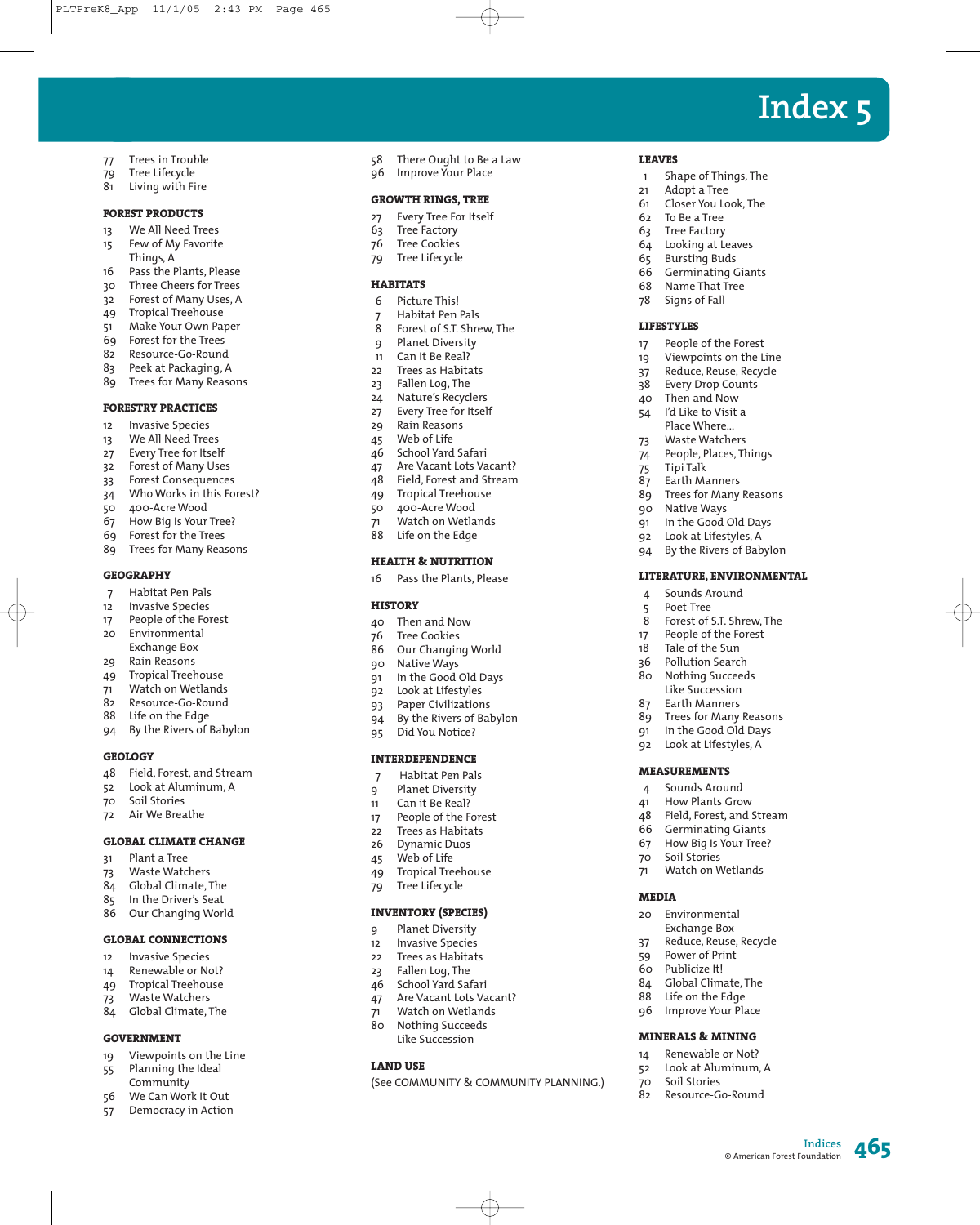## Index<sub>5</sub>

**LEAVES** 

 $1$ 

61

62

63

64

65

66

68

78

 $17$ 

 $19$ 

37

38

73

74

75

87

89

90

91

92

94

 $\overline{4}$ 

5

 $\bar{8}$ 

 $17$ 

18

 $36$ 

87

80

 $Q1$ 

92

 $\mathbf{\Delta}$ 

41 48

66

67

70

 $71$ 

 $37$ 

59

84

 $14$ 

70

82

 $52$ 

**MEDIA** 

80

40

**LIFESTYLES** 

 $21$ 

Shape of Things, The

Closer You Look, The

Looking at Leaves

**Germinating Giants** 

People of the Forest

**Every Drop Counts** 

Then and Now

Place Where...

**Waste Watchers** 

**Earth Manners** 

Native Ways

People, Places, Things

Trees for Many Reasons

By the Rivers of Babylon

LITERATURE. ENVIRONMENTAL

Forest of S.T. Shrew, The

Trees for Many Reasons

In the Good Old Days Look at Lifestyles, A

People of the Forest

In the Good Old Days

Look at Lifestyles, A

Sounds Around

Tale of the Sun

**Pollution Search** 

Like Succession

**Earth Manners** 

Sounds Around

Soil Stories

20 Environmental

60 Publicize Itl

**Exchange Box** 

Power of Print

88 Life on the Edge

96 Improve Your Place

MINERALS & MINING

Soil Stories

Renewable or Not?

Look at Aluminum, A

Resource-Go-Round

**Indices** 

© American Forest Foundation

⊿бс

How Plants Grow

Field, Forest, and Stream

**Germinating Giants** 

How Big Is Your Tree?

Watch on Wetlands

Reduce, Reuse, Recycle

Global Climate, The

**MEASUREMENTS** 

Nothing Succeeds

Poet-Tree

54 I'd Like to Visit a

Tipi Talk

Viewpoints on the Line

Reduce, Reuse, Recycle

**Bursting Buds** 

Name That Tree

Signs of Fall

Adopt a Tree

To Be a Tree

**Tree Factory** 

- Trees in Trouble  $77$
- Tree Lifecycle 79
- Living with Fire 81

#### **FOREST PRODUCTS**

- We All Need Trees  $13$ Few of My Favorite 15 Things, A
- Pass the Plants, Please 16
- Three Cheers for Trees  $30$
- Forest of Many Uses, A  $32$
- **Tropical Treehouse**  $\Delta$ 9
- Make Your Own Paper 51
- 69 Forest for the Trees
- Resource-Go-Round 82
- Peek at Packaging, A 83
- 89 Trees for Many Reasons

#### **FORESTRY PRACTICES**

- **Invasive Species**  $12$
- We All Need Trees  $13$
- Every Tree for Itself 27
- Forest of Many Uses  $32$
- Forest Consequences 33
- Who Works in this Forest?  $34$
- 400-Acre Wood  $50$
- How Big Is Your Tree? 67
- Forest for the Trees 69
- 89 Trees for Many Reasons

#### **GEOGRAPHY**

- Habitat Pen Pals  $\overline{7}$
- **Invasive Species**  $12<sup>12</sup>$
- People of the Forest 17
- $20$ Environmental **Exchange Box**
- $29$ Rain Reasons
- **Tropical Treehouse** 49
- Watch on Wetlands  $71$
- 82 Resource-Go-Round
- 88 Life on the Edge
- By the Rivers of Babylon 94

#### **GEOLOGY**

- Field, Forest, and Stream ⊿8
- Look at Aluminum. A  $52$
- Soil Stories 70
- Air We Breathe  $72$

#### **GLOBAL CLIMATE CHANGE**

- Plant a Tree  $31$
- **Waste Watchers** 73
- $8<sub>A</sub>$ Global Climate, The
- 85 In the Driver's Seat
- Our Changing World 86

#### **GLOBAL CONNECTIONS**

- **Invasive Species**  $12$
- Renewable or Not?  $14$
- Tropical Treehouse 49
- Waste Watchers  $73$
- Global Climate, The 84

#### **GOVERNMENT**

- Viewpoints on the Line  $19$
- Planning the Ideal 55
- Community We Can Work It Out 56
- Democracy in Action 57
- There Ought to Be a Law 58
- 96 Improve Your Place

#### **GROWTH RINGS, TREE**

- 27 Every Tree For Itself
- **Tree Factory** 63
- **Tree Cookies** 76
- Tree Lifecycle 79

### **HABITATS**

- 6 Picture This!
- Habitat Pen Pals  $\overline{7}$
- 8 Forest of S.T. Shrew. The
- Planet Diversity 9
- Can It Be Real?  $11$
- $22$ Trees as Habitats
- Fallen Log, The 23
- Nature's Recyclers  $24$ Every Tree for Itself
- $27$ Rain Reasons 29
- Web of Life 45
- 46 School Yard Safari
- Are Vacant Lots Vacant? 47
- Field, Forest and Stream 48
- **Tropical Treehouse**  $\Delta Q$
- 400-Acre Wood  $50$
- $71$ Watch on Wetlands
- 88 Life on the Edge

#### **HEALTH & NUTRITION**

16 Pass the Plants, Please

#### **HISTORY**

- 40 Then and Now
- 76 **Tree Cookies**
- 86 Our Changing World
- 90 Native Ways
- In the Good Old Days 91
- Look at Lifestyles 92
- 93 Paper Civilizations
- By the Rivers of Babylon 94 95 Did You Notice?

- **INTERDEPENDENCE**
- Habitat Pen Pals  $\overline{7}$
- **Planet Diversity**  $\mathsf{q}$ Can it Be Real?  $11$

 $22$ 

26

45

49

79

9

 $12<sup>12</sup>$ 

 $22$ 

23

46

 $47$ 

 $71$  $80<sub>o</sub>$ 

**LAND USE** 

17 People of the Forest

Web of Life

Tree Lifecycle

**INVENTORY (SPECIES)** 

**Planet Diversity** 

Invasive Species

Fallen Log, The

Trees as Habitats

School Yard Safari

Watch on Wetlands

Nothing Succeeds

Like Succession

Are Vacant Lots Vacant?

(See COMMUNITY & COMMUNITY PLANNING.)

Trees as Habitats

**Tropical Treehouse** 

**Dynamic Duos**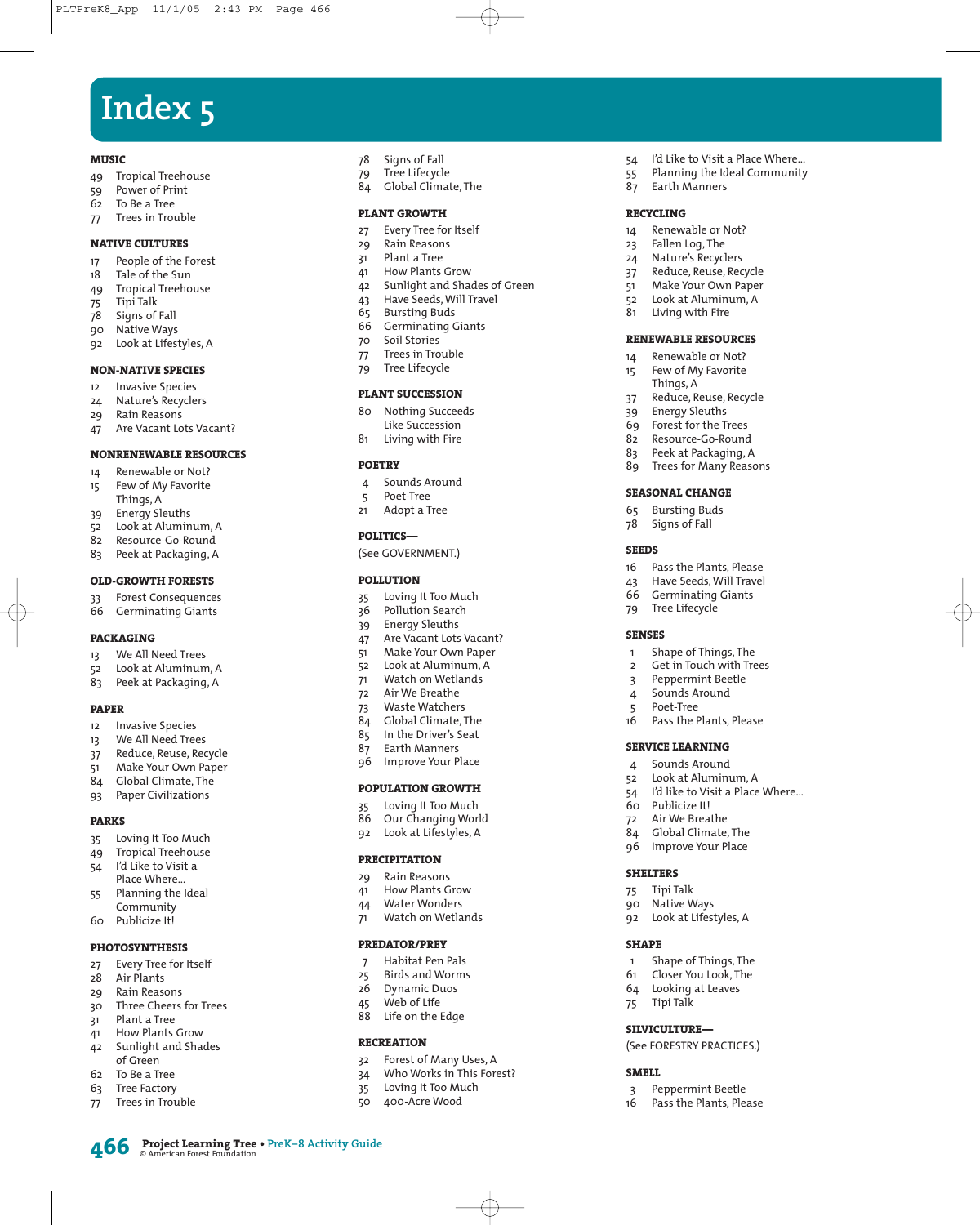# **Index 5**

#### **MUSIC**

- 49 Tropical Treehouse<br>59 Power of Print
- 59 Power of Print<br>62 To Be a Tree
- 62 To Be a Tree<br>77 Trees in Trou
- Trees in Trouble

#### **NATIVE CULTURES**

- 17 People of the Forest
- 18 Tale of the Sun<br>49 Tropical Treeho
- 49 Tropical Treehouse<br>75 Tipi Talk
- Tipi Talk
- 78 Signs of Fall
- 90 Native Ways<br>92 Look at Lifest Look at Lifestyles, A
- 

#### **NON-NATIVE SPECIES**

- 12 Invasive Species<br>24 Nature's Recycler
- 24 Nature's Recyclers<br>29 Rain Reasons
- 29 Rain Reasons<br>47 Are Vacant Lo
- Are Vacant Lots Vacant?

#### **NONRENEWABLE RESOURCES**

- 14 Renewable or Not?<br>15 Few of My Favorite
- Few of My Favorite Things, A
- 39 Energy Sleuths<br>52 Look at Alumin
- Look at Aluminum, A
- 82 Resource-Go-Round
- 83 Peek at Packaging, A

#### **OLD-GROWTH FORESTS**

- 33 Forest Consequences<br>66 Germinating Giants
- **Germinating Giants**

#### **PACKAGING**

- 13 We All Need Trees
- 52 Look at Aluminum, <sup>A</sup>
- 83 Peek at Packaging, A

#### **PAPER**

- 12 Invasive Species<br>13 We All Need Tree
- We All Need Trees
- 37 Reduce, Reuse, Recycle<br>51 Make Your Own Paper
- <sup>51</sup> Make Your Own Paper
- Global Climate, The
- <sup>93</sup> Paper Civilizations

#### **PARKS**

- <sup>35</sup> Loving It Too Much
- 49 Tropical Treehouse<br>54 I'd Like to Visit a
- I'd Like to Visit a Place Where...
- 55 Planning the Ideal Community
- 60 Publicize It!

#### **PHOTOSYNTHESIS**

- 27 Every Tree for Itself<br>28 Air Plants
- 28 Air Plants
- 29 Rain Reasons<br>30 Three Cheers
- 30 Three Cheers for Trees<br>31 Plant a Tree
- Plant a Tree
- <sup>41</sup> How Plants Grow 42 Sunlight and Shades

**Project Learning Tree • PreK–8 Activity Guide 466** © American Forest Foundation

- of Green
- 62 To Be a Tree
- <sup>63</sup> Tree Factory
- <sup>77</sup> Trees in Trouble
- 78 Signs of Fall
- <sup>79</sup> Tree Lifecycle
- Global Climate, The

#### **PLANT GROWTH**

- 27 Every Tree for Itself<br>29 Rain Reasons
- 29 Rain Reasons<br>31 Plant a Tree
- Plant a Tree
- 41 How Plants Grow<br>42 Sunlight and Shad
- 42 Sunlight and Shades of Green<br>43 Have Seeds. Will Travel

54 I'd Like to Visit a Place Where... 55 Planning the Ideal Community<br>87 Earth Manners

Earth Manners

14 Renewable or Not?<br>23 Fallen Log, The Fallen Log, The 24 Nature's Recyclers<br>37 Reduce, Reuse, Rec 37 Reduce, Reuse, Recycle<br>51 Make Your Own Paper <sup>51</sup> Make Your Own Paper 52 Look at Aluminum, A<br>81 Living with Fire Living with Fire **RENEWABLE RESOURCES** 14 Renewable or Not?<br>15 Few of My Favorite Few of My Favorite Things, A <sup>37</sup> Reduce, Reuse, Recycle 39 Energy Sleuths<br>69 Forest for the Ti Forest for the Trees 82 Resource-Go-Round<br>83 Peek at Packaging, A Peek at Packaging, A <sup>89</sup> Trees for Many Reasons

**SEASONAL CHANGE** 65 Bursting Buds<br>78 Signs of Fall Signs of Fall

<sup>79</sup> Tree Lifecycle

16 Pass the Plants, Please 43 Have Seeds, Will Travel<br>66 Germinating Giants Germinating Giants

1 Shape of Things, The 2 Get in Touch with Trees<br>3 Peppermint Beetle Peppermint Beetle 4 Sounds Around 5 Poet-Tree

16 Pass the Plants, Please

1 Shape of Things, The <sup>61</sup> Closer You Look, The Looking at Leaves

(See FORESTRY PRACTICES.)

3 Peppermint Beetle 16 Pass the Plants, Please

I'd like to Visit a Place Where...

**SERVICE LEARNING** 4 Sounds Around 52 Look at Aluminum, A<br>54 I'd like to Visit a Place

60 Publicize It!<br>72 Air We Brea 72 Air We Breathe<br>84 Global Climate Global Climate, The <sup>96</sup> Improve Your Place

**SHELTERS** Tipi Talk Native Ways Look at Lifestyles, A

**SHAPE**

**SMELL**

75 Tipi Talk **SILVICULTURE—**

**SEEDS**

**SENSES**

**RECYCLING**

- <sup>43</sup> Have Seeds, Will Travel
- <sup>65</sup> Bursting Buds Germinating Giants
- 
- 70 Soil Stories<br>77 Trees in Tro
- 77 Trees in Trouble<br>79 Tree Lifecycle Tree Lifecycle

#### **PLANT SUCCESSION**

- 80 Nothing Succeeds
- Like Succession
- <sup>81</sup> Living with Fire

#### **POETRY**

- 4 Sounds Around<br>5 Poet-Tree
- Poet-Tree
- 21 Adopt a Tree

#### **POLITICS—**

#### (See GOVERNMENT.)

#### **POLLUTION**

- 35 Loving It Too Much<br>36 Pollution Search
- 36 Pollution Search<br>39 Energy Sleuths
- 39 Energy Sleuths<br>47 Are Vacant Lots
- Are Vacant Lots Vacant?
- 51 Make Your Own Paper<br>52 Look at Aluminum, A
- 52 Look at Aluminum, A<br>71 Watch on Wetlands Watch on Wetlands
- 72 Air We Breathe
- 73 Waste Watchers
- 84 Global Climate, The
- 
- 85 In the Driver's Seat<br>87 Farth Manners Earth Manners
- <sup>96</sup> Improve Your Place

#### **POPULATION GROWTH**

- 35 Loving It Too Much<br>86 Our Changing Worl
- <sup>86</sup> Our Changing World
- Look at Lifestyles, A

#### **PRECIPITATION**

29 Rain Reasons<br>41 How Plants G

**PREDATOR/PREY** 7 Habitat Pen Pals 25 Birds and Worms<br>26 Dynamic Duos Dynamic Duos 45 Web of Life 88 Life on the Edge

**RECREATION**

 Forest of Many Uses, A Who Works in This Forest? 35 Loving It Too Much<br>50 400-Acre Wood 400-Acre Wood

41 How Plants Grow<br>44 Water Wonders **Water Wonders** 71 Watch on Wetlands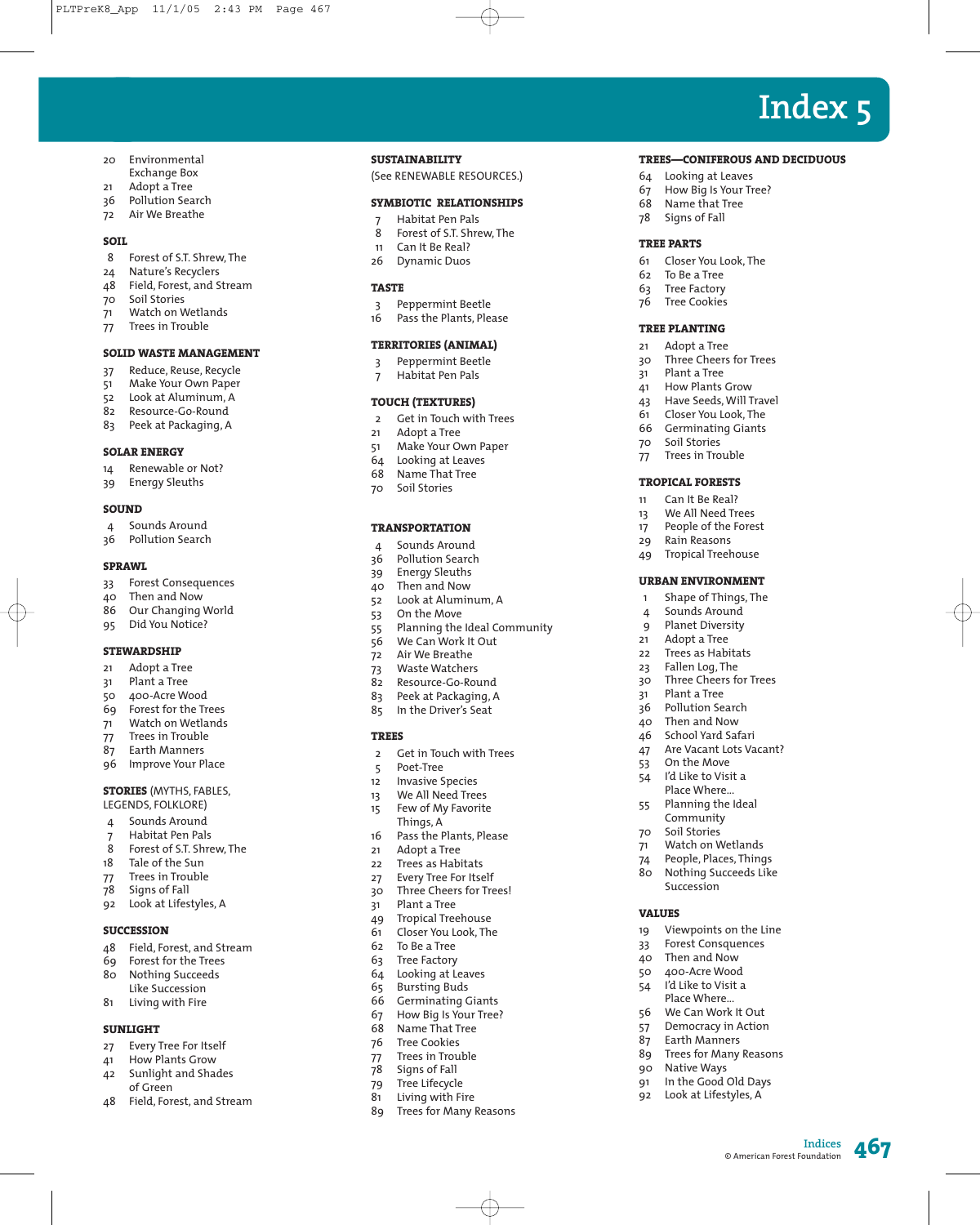- Environmental  $20$ **Exchange Box** Adopt a Tree
- 21  $36$ Pollution Search
- Air We Breathe  $72$

#### SOTT.

- 8 Forest of S.T. Shrew, The
- $2\Delta$ Nature's Recyclers
- Field, Forest, and Stream Δ8
- 70 Soil Stories
- $71$ Watch on Wetlands
- Trees in Trouble 77

#### **SOLID WASTE MANAGEMENT**

- Reduce, Reuse, Recycle 37
- Make Your Own Paper  $51$
- 52 Look at Aluminum, A
- Resource-Go-Round 82
- Peek at Packaging, A  $8<sub>3</sub>$

#### **SOLAR ENERGY**

- Renewable or Not? 14
- **Energy Sleuths** 39

#### **SOUND**

- Sounds Around  $\Delta$
- Pollution Search 36

#### **SPRAWL**

- Forest Consequences  $33$
- Then and Now 40
- Our Changing World 86
- Did You Notice? 95

#### **STEWARDSHIP**

- 21 Adopt a Tree
- Plant a Tree  $31$
- 400-Acre Wood  $50$
- Forest for the Trees 6q Watch on Wetlands
- $71$ Trees in Trouble
- $77$ Earth Manners 87
- 96 Improve Your Place

#### **STORIES** (MYTHS, FABLES,

#### LEGENDS, FOLKLORE)

- Sounds Around  $\Delta$
- Habitat Pen Pals  $\overline{7}$
- Forest of S.T. Shrew. The  $\mathbf{R}$
- Tale of the Sun 18
- Trees in Trouble 77
- Signs of Fall 78
- 92 Look at Lifestyles, A

#### **SUCCESSION**

- 48 Field, Forest, and Stream
- 69 Forest for the Trees
- Nothing Succeeds 80
- Like Succession
- $8<sub>1</sub>$ Living with Fire

#### **SUNLIGHT**

- Every Tree For Itself 27
- How Plants Grow 41
- Sunlight and Shades 42 of Green
- Field, Forest, and Stream 48

#### **SUSTAINABILITY**

(See RENEWABLE RESOURCES.)

Index 5

TREES-CONIFEROUS AND DECIDUOUS

64 Looking at Leaves

Signs of Fall

To Be a Tree

**Tree Factory** 

**Tree Cookies** 

Adopt a Tree

Plant a Tree

How Plants Grow

66 Germinating Giants

Soil Stories

77 Trees in Trouble

**TROPICAL FORESTS** 

Can It Be Real?

Rain Reasons

**URBAN ENVIRONMENT** 

Sounds Around

**Planet Diversity** 

Trees as Habitats Fallen Log, The

Three Cheers for Trees

Are Vacant Lots Vacant?

Adopt a Tree

Plant a Tree

46 School Yard Safari

On the Move

I'd Like to Visit a

Planning the Ideal

Watch on Wetlands

People, Places, Things

Nothing Succeeds Like

Viewpoints on the Line

Forest Consquences

400-Acre Wood

Place Where...

56 We Can Work It Out

57 Democracy in Action

Earth Manners

Native Ways

92 Look at Lifestyles, A

Trees for Many Reasons

**Indices** 

© American Forest Foundation

In the Good Old Days

Place Where...

Community

Soil Stories

Succession

40 Then and Now

54 I'd Like to Visit a

40 Then and Now

Pollution Search

We All Need Trees

People of the Forest

Tropical Treehouse

Shape of Things, The

**TREE PLANTING** 

**TREE PARTS** 

Name that Tree

How Big Is Your Tree?

Closer You Look, The

Three Cheers for Trees

Have Seeds, Will Travel

Closer You Look, The

67

68

78

61

62

63

76

 $21$ 

 $30^{\circ}$ 

 $31$ 

41

61

43

70

 $11$ 

 $13$ 

17

29

49

 $\mathbf{1}$ 

 $\Delta$ 

9

 $21$ 

 $22$ 

 $23$ 

 $30<sup>2</sup>$ 

 $31$ 

 $36$ 

47

53

54

55

70

 $71$ 

74

80

19

33

50

87

90

91

89

**VALUES** 

#### SYMBIOTIC RELATIONSHIPS

- 7 Habitat Pen Pals
- 8 Forest of S.T. Shrew, The
- Can It Be Real?  $11$
- 26 Dynamic Duos

#### **TASTE**

- Peppermint Beetle  $\overline{3}$
- Pass the Plants, Please 16

#### **TERRITORIES (ANIMAL)**

- $\overline{3}$ Peppermint Beetle
- Habitat Pen Pals  $\overline{7}$

#### **TOUCH (TEXTURES)**

- Get in Touch with Trees  $\overline{2}$
- $21$ Adopt a Tree
- Make Your Own Paper  $51$
- Looking at Leaves 64
- 68 Name That Tree
- Soil Stories 70

#### **TRANSPORTATION**

- Sounds Around  $\Delta$
- Pollution Search 36
- **Energy Sleuths** 39 Then and Now
- 40 Look at Aluminum, A 52
- On the Move
- 53
- Planning the Ideal Community 55 We Can Work It Out
- 56 72 Air We Breathe
- **Waste Watchers**
- 73 82 Resource-Go-Round
- 83 Peek at Packaging, A
- In the Driver's Seat 85

#### **TREES**

- Get in Touch with Trees  $\overline{2}$
- Poet-Tree  $\overline{5}$
- **Invasive Species**  $12$
- We All Need Trees  $13$
- Few of My Favorite 15 Things, A
- 16 Pass the Plants, Please 21 Adopt a Tree
- $22$ Trees as Habitats
- 27 Every Tree For Itself
- Three Cheers for Trees! 30

Closer You Look, The

Looking at Leaves

**Germinating Giants** 

How Big Is Your Tree?

**Bursting Buds** 

Name That Tree

Trees in Trouble

**Tree Cookies** 

Signs of Fall

**Tree Lifecycle** 

Living with Fire

Trees for Many Reasons

Plant a Tree  $31$ 

61

62

63

64

65

66

67

68

76

77

78

79

81

89

Tropical Treehouse 49 To Be a Tree

**Tree Factory**